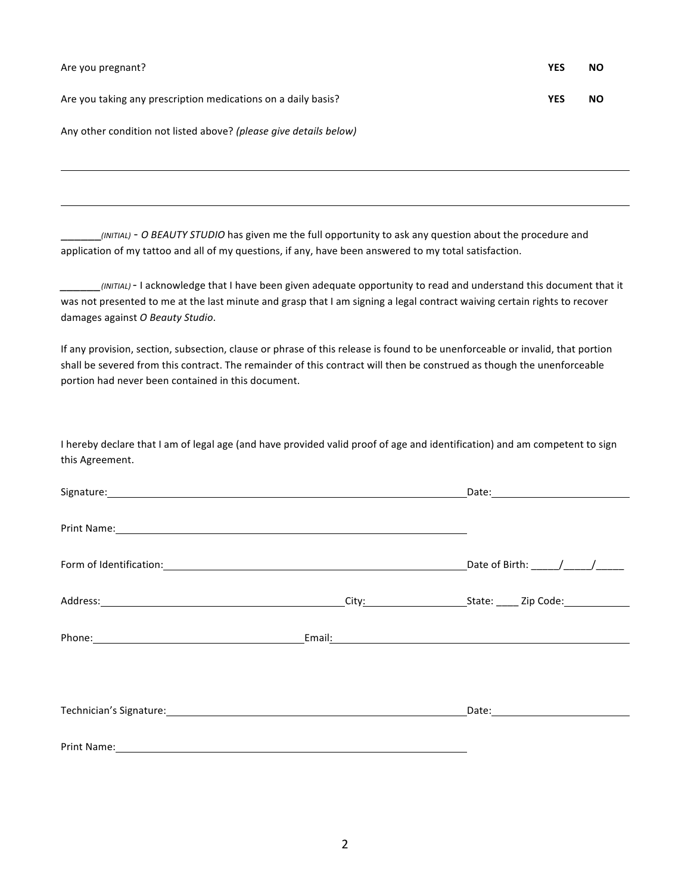Are you taking any prescription medications on a daily basis? **WES WES NO** 

Any other condition not listed above? (please give details below)

\_\_\_\_\_\_*(INITIAL)* - *O BEAUTY STUDIO* has given me the full opportunity to ask any question about the procedure and application of my tattoo and all of my questions, if any, have been answered to my total satisfaction.

*\_\_\_\_\_\_(INITIAL)*- I acknowledge that I have been given adequate opportunity to read and understand this document that it was not presented to me at the last minute and grasp that I am signing a legal contract waiving certain rights to recover damages against *O Beauty Studio*.

If any provision, section, subsection, clause or phrase of this release is found to be unenforceable or invalid, that portion shall be severed from this contract. The remainder of this contract will then be construed as though the unenforceable portion had never been contained in this document.

I hereby declare that I am of legal age (and have provided valid proof of age and identification) and am competent to sign this Agreement.

| Print Name: Name and Secretary Annual Secretary Annual Secretary Annual Secretary Annual Secretary Annual Secretary Annual Secretary Annual Secretary Annual Secretary Annual Secretary Annual Secretary Annual Secretary Annu |  |
|--------------------------------------------------------------------------------------------------------------------------------------------------------------------------------------------------------------------------------|--|
|                                                                                                                                                                                                                                |  |
|                                                                                                                                                                                                                                |  |
|                                                                                                                                                                                                                                |  |
|                                                                                                                                                                                                                                |  |
| Technician's Signature: Management of the Contract of the Contract of the Contract of the Contract of the Contract of the Contract of the Contract of the Contract of the Contract of the Contract of the Contract of the Cont |  |
| Print Name: <u>Cambridge Communication</u>                                                                                                                                                                                     |  |